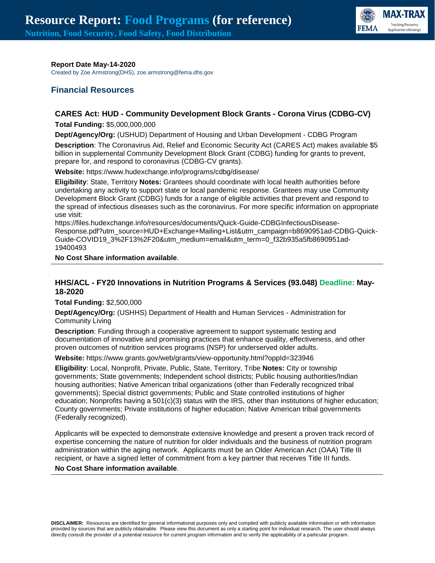

#### **Report Date May-14-2020**

Created by Zoe Armstrong(DHS), zoe.armstrong@fema.dhs.gov

# **Financial Resources**

### **CARES Act: HUD - Community Development Block Grants - Corona Virus (CDBG-CV)**

**Total Funding:** \$5,000,000,000

**Dept/Agency/Org:** (USHUD) Department of Housing and Urban Development - CDBG Program

**Description**: The Coronavirus Aid, Relief and Economic Security Act (CARES Act) makes available \$5 billion in supplemental Community Development Block Grant (CDBG) funding for grants to prevent, prepare for, and respond to coronavirus (CDBG-CV grants).

**Website:** https://www.hudexchange.info/programs/cdbg/disease/

**Eligibility**: State, Territory **Notes:** Grantees should coordinate with local health authorities before undertaking any activity to support state or local pandemic response. Grantees may use Community Development Block Grant (CDBG) funds for a range of eligible activities that prevent and respond to the spread of infectious diseases such as the coronavirus. For more specific information on appropriate use visit:

https://files.hudexchange.info/resources/documents/Quick-Guide-CDBGInfectiousDisease-Response.pdf?utm\_source=HUD+Exchange+Mailing+List&utm\_campaign=b8690951ad-CDBG-Quick-Guide-COVID19\_3%2F13%2F20&utm\_medium=email&utm\_term=0\_f32b935a5fb8690951ad-19400493

#### **No Cost Share information available**.

### **HHS/ACL - FY20 Innovations in Nutrition Programs & Services (93.048) Deadline: May-18-2020**

**Total Funding:** \$2,500,000

**Dept/Agency/Org:** (USHHS) Department of Health and Human Services - Administration for Community Living

**Description**: Funding through a cooperative agreement to support systematic testing and documentation of innovative and promising practices that enhance quality, effectiveness, and other proven outcomes of nutrition services programs (NSP) for underserved older adults.

**Website:** https://www.grants.gov/web/grants/view-opportunity.html?oppId=323946

**Eligibility**: Local, Nonprofit, Private, Public, State, Territory, Tribe **Notes:** City or township governments; State governments; Independent school districts; Public housing authorities/Indian housing authorities; Native American tribal organizations (other than Federally recognized tribal governments); Special district governments; Public and State controlled institutions of higher education; Nonprofits having a 501(c)(3) status with the IRS, other than institutions of higher education; County governments; Private institutions of higher education; Native American tribal governments (Federally recognized).

Applicants will be expected to demonstrate extensive knowledge and present a proven track record of expertise concerning the nature of nutrition for older individuals and the business of nutrition program administration within the aging network. Applicants must be an Older American Act (OAA) Title III recipient, or have a signed letter of commitment from a key partner that receives Title III funds.

#### **No Cost Share information available**.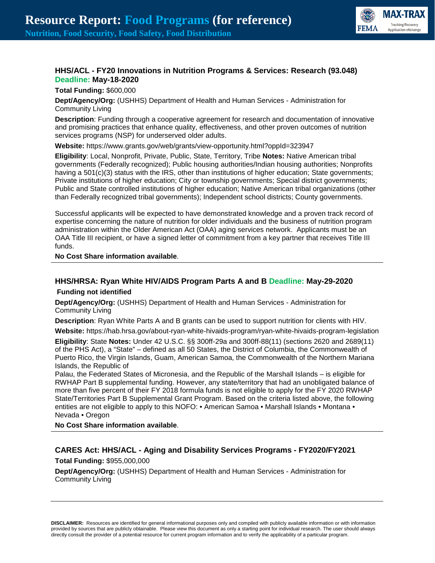

# **HHS/ACL - FY20 Innovations in Nutrition Programs & Services: Research (93.048) Deadline: May-18-2020**

**Total Funding:** \$600,000

**Dept/Agency/Org:** (USHHS) Department of Health and Human Services - Administration for Community Living

**Description**: Funding through a cooperative agreement for research and documentation of innovative and promising practices that enhance quality, effectiveness, and other proven outcomes of nutrition services programs (NSP) for underserved older adults.

**Website:** https://www.grants.gov/web/grants/view-opportunity.html?oppId=323947

**Eligibility**: Local, Nonprofit, Private, Public, State, Territory, Tribe **Notes:** Native American tribal governments (Federally recognized); Public housing authorities/Indian housing authorities; Nonprofits having a 501(c)(3) status with the IRS, other than institutions of higher education; State governments; Private institutions of higher education; City or township governments; Special district governments; Public and State controlled institutions of higher education; Native American tribal organizations (other than Federally recognized tribal governments); Independent school districts; County governments.

Successful applicants will be expected to have demonstrated knowledge and a proven track record of expertise concerning the nature of nutrition for older individuals and the business of nutrition program administration within the Older American Act (OAA) aging services network. Applicants must be an OAA Title III recipient, or have a signed letter of commitment from a key partner that receives Title III funds.

#### **No Cost Share information available**.

### **HHS/HRSA: Ryan White HIV/AIDS Program Parts A and B Deadline: May-29-2020 Funding not identified**

**Dept/Agency/Org:** (USHHS) Department of Health and Human Services - Administration for Community Living

**Description**: Ryan White Parts A and B grants can be used to support nutrition for clients with HIV.

**Website:** https://hab.hrsa.gov/about-ryan-white-hivaids-program/ryan-white-hivaids-program-legislation

**Eligibility**: State **Notes:** Under 42 U.S.C. §§ 300ff-29a and 300ff-88(11) (sections 2620 and 2689(11) of the PHS Act), a "State" – defined as all 50 States, the District of Columbia, the Commonwealth of Puerto Rico, the Virgin Islands, Guam, American Samoa, the Commonwealth of the Northern Mariana Islands, the Republic of

Palau, the Federated States of Micronesia, and the Republic of the Marshall Islands – is eligible for RWHAP Part B supplemental funding. However, any state/territory that had an unobligated balance of more than five percent of their FY 2018 formula funds is not eligible to apply for the FY 2020 RWHAP State/Territories Part B Supplemental Grant Program. Based on the criteria listed above, the following entities are not eligible to apply to this NOFO: • American Samoa • Marshall Islands • Montana • Nevada • Oregon

**No Cost Share information available**.

# **CARES Act: HHS/ACL - Aging and Disability Services Programs - FY2020/FY2021**

**Total Funding:** \$955,000,000

**Dept/Agency/Org:** (USHHS) Department of Health and Human Services - Administration for Community Living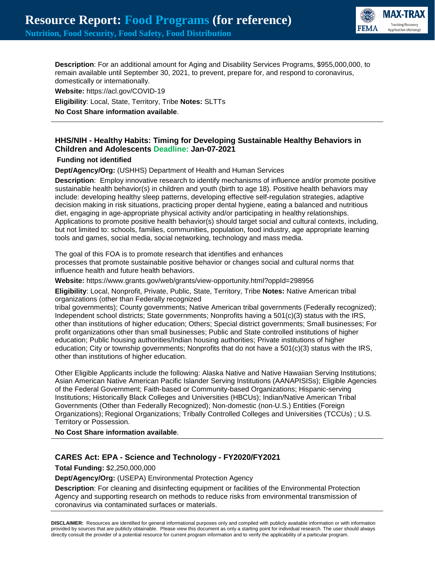

**Description**: For an additional amount for Aging and Disability Services Programs, \$955,000,000, to remain available until September 30, 2021, to prevent, prepare for, and respond to coronavirus, domestically or internationally.

**Website:** https://acl.gov/COVID-19 **Eligibility**: Local, State, Territory, Tribe **Notes:** SLTTs **No Cost Share information available**.

# **HHS/NIH - Healthy Habits: Timing for Developing Sustainable Healthy Behaviors in Children and Adolescents Deadline: Jan-07-2021**

#### **Funding not identified**

**Dept/Agency/Org:** (USHHS) Department of Health and Human Services

**Description**: Employ innovative research to identify mechanisms of influence and/or promote positive sustainable health behavior(s) in children and youth (birth to age 18). Positive health behaviors may include: developing healthy sleep patterns, developing effective self-regulation strategies, adaptive decision making in risk situations, practicing proper dental hygiene, eating a balanced and nutritious diet, engaging in age-appropriate physical activity and/or participating in healthy relationships. Applications to promote positive health behavior(s) should target social and cultural contexts, including, but not limited to: schools, families, communities, population, food industry, age appropriate learning tools and games, social media, social networking, technology and mass media.

The goal of this FOA is to promote research that identifies and enhances processes that promote sustainable positive behavior or changes social and cultural norms that influence health and future health behaviors.

**Website:** https://www.grants.gov/web/grants/view-opportunity.html?oppId=298956

**Eligibility**: Local, Nonprofit, Private, Public, State, Territory, Tribe **Notes:** Native American tribal organizations (other than Federally recognized

tribal governments); County governments; Native American tribal governments (Federally recognized); Independent school districts; State governments; Nonprofits having a 501(c)(3) status with the IRS, other than institutions of higher education; Others; Special district governments; Small businesses; For profit organizations other than small businesses; Public and State controlled institutions of higher education; Public housing authorities/Indian housing authorities; Private institutions of higher education; City or township governments; Nonprofits that do not have a 501(c)(3) status with the IRS, other than institutions of higher education.

Other Eligible Applicants include the following: Alaska Native and Native Hawaiian Serving Institutions; Asian American Native American Pacific Islander Serving Institutions (AANAPISISs); Eligible Agencies of the Federal Government; Faith-based or Community-based Organizations; Hispanic-serving Institutions; Historically Black Colleges and Universities (HBCUs); Indian/Native American Tribal Governments (Other than Federally Recognized); Non-domestic (non-U.S.) Entities (Foreign Organizations); Regional Organizations; Tribally Controlled Colleges and Universities (TCCUs) ; U.S. Territory or Possession.

**No Cost Share information available**.

### **CARES Act: EPA - Science and Technology - FY2020/FY2021**

**Total Funding:** \$2,250,000,000

**Dept/Agency/Org:** (USEPA) Environmental Protection Agency

**Description**: For cleaning and disinfecting equipment or facilities of the Environmental Protection Agency and supporting research on methods to reduce risks from environmental transmission of coronavirus via contaminated surfaces or materials.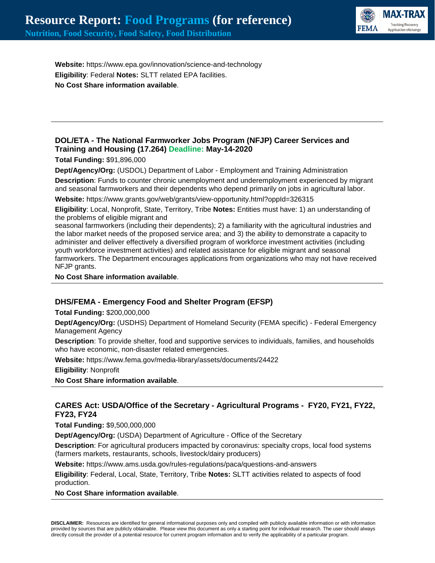

**Website:** https://www.epa.gov/innovation/science-and-technology **Eligibility**: Federal **Notes:** SLTT related EPA facilities. **No Cost Share information available**.

# **DOL/ETA - The National Farmworker Jobs Program (NFJP) Career Services and Training and Housing (17.264) Deadline: May-14-2020**

**Total Funding:** \$91,896,000

**Dept/Agency/Org:** (USDOL) Department of Labor - Employment and Training Administration **Description**: Funds to counter chronic unemployment and underemployment experienced by migrant and seasonal farmworkers and their dependents who depend primarily on jobs in agricultural labor.

**Website:** https://www.grants.gov/web/grants/view-opportunity.html?oppId=326315

**Eligibility**: Local, Nonprofit, State, Territory, Tribe **Notes:** Entities must have: 1) an understanding of the problems of eligible migrant and

seasonal farmworkers (including their dependents); 2) a familiarity with the agricultural industries and the labor market needs of the proposed service area; and 3) the ability to demonstrate a capacity to administer and deliver effectively a diversified program of workforce investment activities (including youth workforce investment activities) and related assistance for eligible migrant and seasonal farmworkers. The Department encourages applications from organizations who may not have received NFJP grants.

**No Cost Share information available**.

# **DHS/FEMA - Emergency Food and Shelter Program (EFSP)**

**Total Funding:** \$200,000,000

**Dept/Agency/Org:** (USDHS) Department of Homeland Security (FEMA specific) - Federal Emergency Management Agency

**Description**: To provide shelter, food and supportive services to individuals, families, and households who have economic, non-disaster related emergencies.

**Website:** https://www.fema.gov/media-library/assets/documents/24422

**Eligibility**: Nonprofit

**No Cost Share information available**.

### **CARES Act: USDA/Office of the Secretary - Agricultural Programs - FY20, FY21, FY22, FY23, FY24**

**Total Funding:** \$9,500,000,000

**Dept/Agency/Org:** (USDA) Department of Agriculture - Office of the Secretary

**Description**: For agricultural producers impacted by coronavirus: specialty crops, local food systems (farmers markets, restaurants, schools, livestock/dairy producers)

**Website:** https://www.ams.usda.gov/rules-regulations/paca/questions-and-answers

**Eligibility**: Federal, Local, State, Territory, Tribe **Notes:** SLTT activities related to aspects of food production.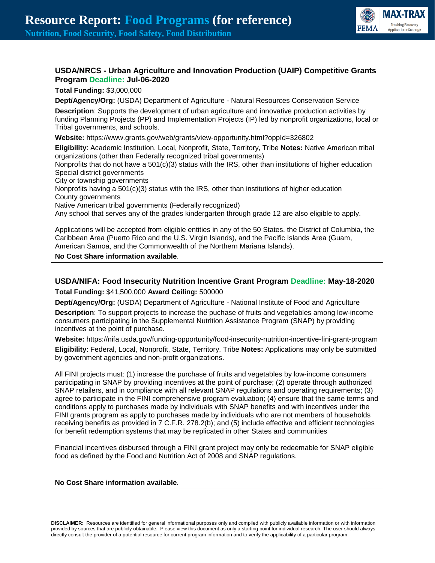

# **USDA/NRCS - Urban Agriculture and Innovation Production (UAIP) Competitive Grants Program Deadline: Jul-06-2020**

**Total Funding:** \$3,000,000

**Dept/Agency/Org:** (USDA) Department of Agriculture - Natural Resources Conservation Service

**Description**: Supports the development of urban agriculture and innovative production activities by funding Planning Projects (PP) and Implementation Projects (IP) led by nonprofit organizations, local or Tribal governments, and schools.

**Website:** https://www.grants.gov/web/grants/view-opportunity.html?oppId=326802

**Eligibility**: Academic Institution, Local, Nonprofit, State, Territory, Tribe **Notes:** Native American tribal organizations (other than Federally recognized tribal governments)

Nonprofits that do not have a  $501(c)(3)$  status with the IRS, other than institutions of higher education Special district governments

City or township governments

Nonprofits having a 501(c)(3) status with the IRS, other than institutions of higher education County governments

Native American tribal governments (Federally recognized)

Any school that serves any of the grades kindergarten through grade 12 are also eligible to apply.

Applications will be accepted from eligible entities in any of the 50 States, the District of Columbia, the Caribbean Area (Puerto Rico and the U.S. Virgin Islands), and the Pacific Islands Area (Guam, American Samoa, and the Commonwealth of the Northern Mariana Islands).

**No Cost Share information available**.

# **USDA/NIFA: Food Insecurity Nutrition Incentive Grant Program Deadline: May-18-2020 Total Funding:** \$41,500,000 **Award Ceiling:** 500000

**Dept/Agency/Org:** (USDA) Department of Agriculture - National Institute of Food and Agriculture

**Description**: To support projects to increase the puchase of fruits and vegetables among low-income consumers participating in the Supplemental Nutrition Assistance Program (SNAP) by providing incentives at the point of purchase.

**Website:** https://nifa.usda.gov/funding-opportunity/food-insecurity-nutrition-incentive-fini-grant-program **Eligibility**: Federal, Local, Nonprofit, State, Territory, Tribe **Notes:** Applications may only be submitted by government agencies and non-profit organizations.

All FINI projects must: (1) increase the purchase of fruits and vegetables by low-income consumers participating in SNAP by providing incentives at the point of purchase; (2) operate through authorized SNAP retailers, and in compliance with all relevant SNAP regulations and operating requirements; (3) agree to participate in the FINI comprehensive program evaluation; (4) ensure that the same terms and conditions apply to purchases made by individuals with SNAP benefits and with incentives under the FINI grants program as apply to purchases made by individuals who are not members of households receiving benefits as provided in 7 C.F.R. 278.2(b); and (5) include effective and efficient technologies for benefit redemption systems that may be replicated in other States and communities

Financial incentives disbursed through a FINI grant project may only be redeemable for SNAP eligible food as defined by the Food and Nutrition Act of 2008 and SNAP regulations.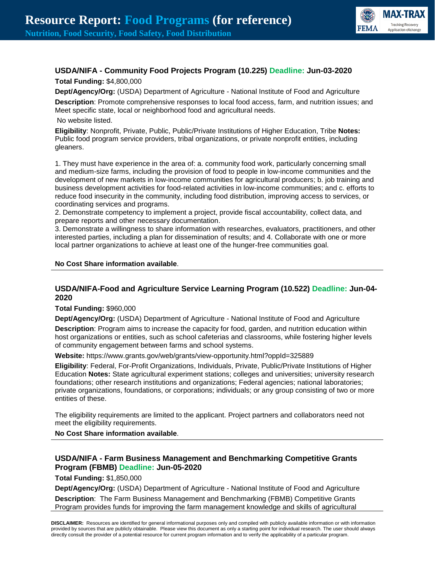

# **USDA/NIFA - Community Food Projects Program (10.225) Deadline: Jun-03-2020**

**Total Funding:** \$4,800,000

**Dept/Agency/Org:** (USDA) Department of Agriculture - National Institute of Food and Agriculture **Description**: Promote comprehensive responses to local food access, farm, and nutrition issues; and Meet specific state, local or neighborhood food and agricultural needs.

#### No website listed.

**Eligibility**: Nonprofit, Private, Public, Public/Private Institutions of Higher Education, Tribe **Notes:** Public food program service providers, tribal organizations, or private nonprofit entities, including gleaners.

1. They must have experience in the area of: a. community food work, particularly concerning small and medium-size farms, including the provision of food to people in low-income communities and the development of new markets in low-income communities for agricultural producers; b. job training and business development activities for food-related activities in low-income communities; and c. efforts to reduce food insecurity in the community, including food distribution, improving access to services, or coordinating services and programs.

2. Demonstrate competency to implement a project, provide fiscal accountability, collect data, and prepare reports and other necessary documentation.

3. Demonstrate a willingness to share information with researches, evaluators, practitioners, and other interested parties, including a plan for dissemination of results; and 4. Collaborate with one or more local partner organizations to achieve at least one of the hunger-free communities goal.

### **No Cost Share information available**.

### **USDA/NIFA-Food and Agriculture Service Learning Program (10.522) Deadline: Jun-04- 2020**

**Total Funding:** \$960,000

**Dept/Agency/Org:** (USDA) Department of Agriculture - National Institute of Food and Agriculture

**Description**: Program aims to increase the capacity for food, garden, and nutrition education within host organizations or entities, such as school cafeterias and classrooms, while fostering higher levels of community engagement between farms and school systems.

**Website:** https://www.grants.gov/web/grants/view-opportunity.html?oppId=325889

**Eligibility**: Federal, For-Profit Organizations, Individuals, Private, Public/Private Institutions of Higher Education **Notes:** State agricultural experiment stations; colleges and universities; university research foundations; other research institutions and organizations; Federal agencies; national laboratories; private organizations, foundations, or corporations; individuals; or any group consisting of two or more entities of these.

The eligibility requirements are limited to the applicant. Project partners and collaborators need not meet the eligibility requirements.

**No Cost Share information available**.

# **USDA/NIFA - Farm Business Management and Benchmarking Competitive Grants Program (FBMB) Deadline: Jun-05-2020**

**Total Funding:** \$1,850,000

**Dept/Agency/Org:** (USDA) Department of Agriculture - National Institute of Food and Agriculture

**Description**: The Farm Business Management and Benchmarking (FBMB) Competitive Grants Program provides funds for improving the farm management knowledge and skills of agricultural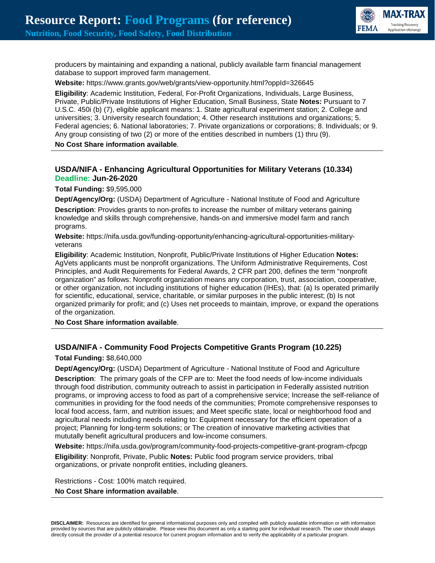

producers by maintaining and expanding a national, publicly available farm financial management database to support improved farm management.

**Website:** https://www.grants.gov/web/grants/view-opportunity.html?oppId=326645

**Eligibility**: Academic Institution, Federal, For-Profit Organizations, Individuals, Large Business, Private, Public/Private Institutions of Higher Education, Small Business, State **Notes:** Pursuant to 7 U.S.C. 450i (b) (7), eligible applicant means: 1. State agricultural experiment station; 2. College and universities; 3. University research foundation; 4. Other research institutions and organizations; 5. Federal agencies; 6. National laboratories; 7. Private organizations or corporations; 8. Individuals; or 9. Any group consisting of two (2) or more of the entities described in numbers (1) thru (9).

#### **No Cost Share information available**.

# **USDA/NIFA - Enhancing Agricultural Opportunities for Military Veterans (10.334) Deadline: Jun-26-2020**

**Total Funding:** \$9,595,000

**Dept/Agency/Org:** (USDA) Department of Agriculture - National Institute of Food and Agriculture **Description**: Provides grants to non-profits to increase the number of military veterans gaining knowledge and skills through comprehensive, hands-on and immersive model farm and ranch programs.

**Website:** https://nifa.usda.gov/funding-opportunity/enhancing-agricultural-opportunities-militaryveterans

**Eligibility**: Academic Institution, Nonprofit, Public/Private Institutions of Higher Education **Notes:** AgVets applicants must be nonprofit organizations. The Uniform Administrative Requirements, Cost Principles, and Audit Requirements for Federal Awards, 2 CFR part 200, defines the term "nonprofit organization" as follows: Nonprofit organization means any corporation, trust, association, cooperative, or other organization, not including institutions of higher education (IHEs), that: (a) Is operated primarily for scientific, educational, service, charitable, or similar purposes in the public interest; (b) Is not organized primarily for profit; and (c) Uses net proceeds to maintain, improve, or expand the operations of the organization.

**No Cost Share information available**.

# **USDA/NIFA - Community Food Projects Competitive Grants Program (10.225)**

**Total Funding:** \$8,640,000

**Dept/Agency/Org:** (USDA) Department of Agriculture - National Institute of Food and Agriculture **Description**: The primary goals of the CFP are to: Meet the food needs of low-income individuals through food distribution, community outreach to assist in participation in Federally assisted nutrition programs, or improving access to food as part of a comprehensive service; Increase the self-reliance of communities in providing for the food needs of the communities; Promote comprehensive responses to local food access, farm, and nutrition issues; and Meet specific state, local or neighborhood food and agricultural needs including needs relating to: Equipment necessary for the efficient operation of a project; Planning for long-term solutions; or The creation of innovative marketing activities that mututally benefit agricultural producers and low-income consumers.

**Website:** https://nifa.usda.gov/program/community-food-projects-competitive-grant-program-cfpcgp

**Eligibility**: Nonprofit, Private, Public **Notes:** Public food program service providers, tribal organizations, or private nonprofit entities, including gleaners.

Restrictions - Cost: 100% match required.

#### **No Cost Share information available**.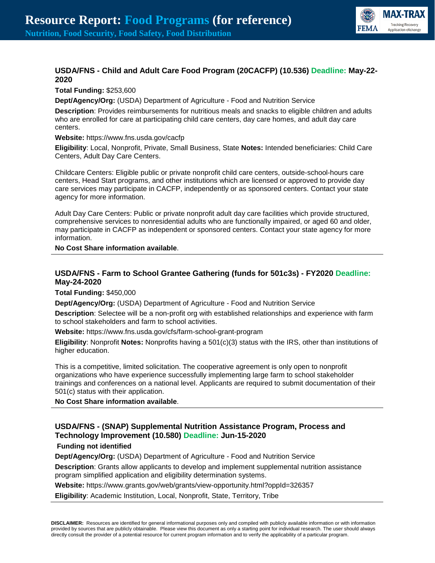

# **USDA/FNS - Child and Adult Care Food Program (20CACFP) (10.536) Deadline: May-22- 2020**

#### **Total Funding:** \$253,600

**Dept/Agency/Org:** (USDA) Department of Agriculture - Food and Nutrition Service

**Description**: Provides reimbursements for nutritious meals and snacks to eligible children and adults who are enrolled for care at participating child care centers, day care homes, and adult day care centers.

#### **Website:** https://www.fns.usda.gov/cacfp

**Eligibility**: Local, Nonprofit, Private, Small Business, State **Notes:** Intended beneficiaries: Child Care Centers, Adult Day Care Centers.

Childcare Centers: Eligible public or private nonprofit child care centers, outside-school-hours care centers, Head Start programs, and other institutions which are licensed or approved to provide day care services may participate in CACFP, independently or as sponsored centers. Contact your state agency for more information.

Adult Day Care Centers: Public or private nonprofit adult day care facilities which provide structured, comprehensive services to nonresidential adults who are functionally impaired, or aged 60 and older, may participate in CACFP as independent or sponsored centers. Contact your state agency for more information.

#### **No Cost Share information available**.

# **USDA/FNS - Farm to School Grantee Gathering (funds for 501c3s) - FY2020 Deadline: May-24-2020**

**Total Funding:** \$450,000

**Dept/Agency/Org:** (USDA) Department of Agriculture - Food and Nutrition Service

**Description**: Selectee will be a non-profit org with established relationships and experience with farm to school stakeholders and farm to school activities.

**Website:** https://www.fns.usda.gov/cfs/farm-school-grant-program

**Eligibility**: Nonprofit **Notes:** Nonprofits having a 501(c)(3) status with the IRS, other than institutions of higher education.

This is a competitive, limited solicitation. The cooperative agreement is only open to nonprofit organizations who have experience successfully implementing large farm to school stakeholder trainings and conferences on a national level. Applicants are required to submit documentation of their 501(c) status with their application.

**No Cost Share information available**.

# **USDA/FNS - (SNAP) Supplemental Nutrition Assistance Program, Process and Technology Improvement (10.580) Deadline: Jun-15-2020**

### **Funding not identified**

**Dept/Agency/Org:** (USDA) Department of Agriculture - Food and Nutrition Service

**Description**: Grants allow applicants to develop and implement supplemental nutrition assistance program simplified application and eligibility determination systems.

**Website:** https://www.grants.gov/web/grants/view-opportunity.html?oppId=326357

**Eligibility**: Academic Institution, Local, Nonprofit, State, Territory, Tribe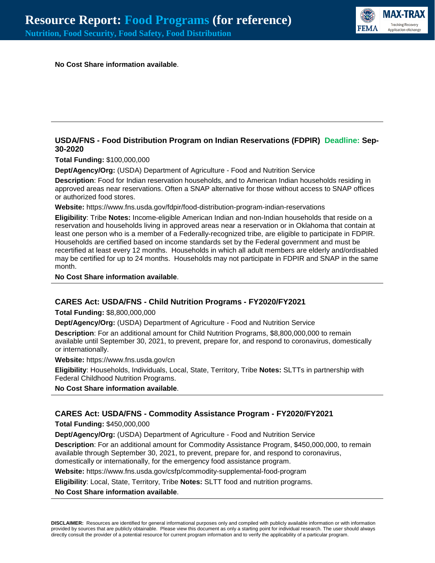

**No Cost Share information available**.

### **USDA/FNS - Food Distribution Program on Indian Reservations (FDPIR) Deadline: Sep-30-2020**

**Total Funding:** \$100,000,000

**Dept/Agency/Org:** (USDA) Department of Agriculture - Food and Nutrition Service

**Description**: Food for Indian reservation households, and to American Indian households residing in approved areas near reservations. Often a SNAP alternative for those without access to SNAP offices or authorized food stores.

**Website:** https://www.fns.usda.gov/fdpir/food-distribution-program-indian-reservations

**Eligibility**: Tribe **Notes:** Income-eligible American Indian and non-Indian households that reside on a reservation and households living in approved areas near a reservation or in Oklahoma that contain at least one person who is a member of a Federally-recognized tribe, are eligible to participate in FDPIR. Households are certified based on income standards set by the Federal government and must be recertified at least every 12 months. Households in which all adult members are elderly and/ordisabled may be certified for up to 24 months. Households may not participate in FDPIR and SNAP in the same month.

**No Cost Share information available**.

### **CARES Act: USDA/FNS - Child Nutrition Programs - FY2020/FY2021**

**Total Funding:** \$8,800,000,000

**Dept/Agency/Org:** (USDA) Department of Agriculture - Food and Nutrition Service

**Description**: For an additional amount for Child Nutrition Programs, \$8,800,000,000 to remain available until September 30, 2021, to prevent, prepare for, and respond to coronavirus, domestically or internationally.

**Website:** https://www.fns.usda.gov/cn

**Eligibility**: Households, Individuals, Local, State, Territory, Tribe **Notes:** SLTTs in partnership with Federal Childhood Nutrition Programs.

**No Cost Share information available**.

### **CARES Act: USDA/FNS - Commodity Assistance Program - FY2020/FY2021**

**Total Funding:** \$450,000,000

**Dept/Agency/Org:** (USDA) Department of Agriculture - Food and Nutrition Service

**Description**: For an additional amount for Commodity Assistance Program, \$450,000,000, to remain available through September 30, 2021, to prevent, prepare for, and respond to coronavirus, domestically or internationally, for the emergency food assistance program.

**Website:** https://www.fns.usda.gov/csfp/commodity-supplemental-food-program

**Eligibility**: Local, State, Territory, Tribe **Notes:** SLTT food and nutrition programs.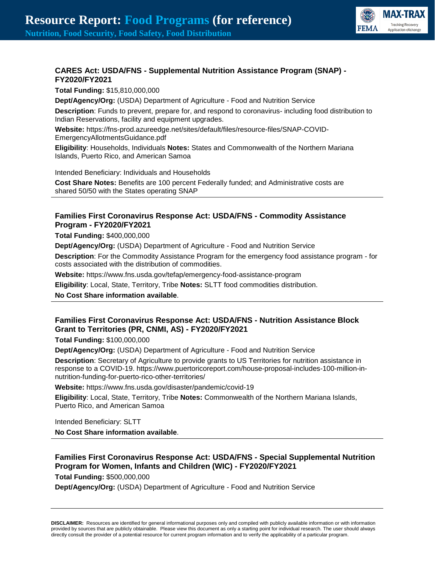

# **CARES Act: USDA/FNS - Supplemental Nutrition Assistance Program (SNAP) - FY2020/FY2021**

**Total Funding:** \$15,810,000,000 **Dept/Agency/Org:** (USDA) Department of Agriculture - Food and Nutrition Service

**Description**: Funds to prevent, prepare for, and respond to coronavirus- including food distribution to Indian Reservations, facility and equipment upgrades.

**Website:** https://fns-prod.azureedge.net/sites/default/files/resource-files/SNAP-COVID-EmergencyAllotmentsGuidance.pdf

**Eligibility**: Households, Individuals **Notes:** States and Commonwealth of the Northern Mariana Islands, Puerto Rico, and American Samoa

Intended Beneficiary: Individuals and Households

**Cost Share Notes:** Benefits are 100 percent Federally funded; and Administrative costs are shared 50/50 with the States operating SNAP

# **Families First Coronavirus Response Act: USDA/FNS - Commodity Assistance Program - FY2020/FY2021**

**Total Funding:** \$400,000,000

**Dept/Agency/Org:** (USDA) Department of Agriculture - Food and Nutrition Service

**Description**: For the Commodity Assistance Program for the emergency food assistance program - for costs associated with the distribution of commodities.

**Website:** https://www.fns.usda.gov/tefap/emergency-food-assistance-program

**Eligibility**: Local, State, Territory, Tribe **Notes:** SLTT food commodities distribution.

**No Cost Share information available**.

# **Families First Coronavirus Response Act: USDA/FNS - Nutrition Assistance Block Grant to Territories (PR, CNMI, AS) - FY2020/FY2021**

**Total Funding:** \$100,000,000

**Dept/Agency/Org:** (USDA) Department of Agriculture - Food and Nutrition Service

**Description**: Secretary of Agriculture to provide grants to US Territories for nutrition assistance in response to a COVID-19. https://www.puertoricoreport.com/house-proposal-includes-100-million-innutrition-funding-for-puerto-rico-other-territories/

**Website:** https://www.fns.usda.gov/disaster/pandemic/covid-19

**Eligibility**: Local, State, Territory, Tribe **Notes:** Commonwealth of the Northern Mariana Islands, Puerto Rico, and American Samoa

Intended Beneficiary: SLTT

**No Cost Share information available**.

### **Families First Coronavirus Response Act: USDA/FNS - Special Supplemental Nutrition Program for Women, Infants and Children (WIC) - FY2020/FY2021 Total Funding:** \$500,000,000

**Dept/Agency/Org:** (USDA) Department of Agriculture - Food and Nutrition Service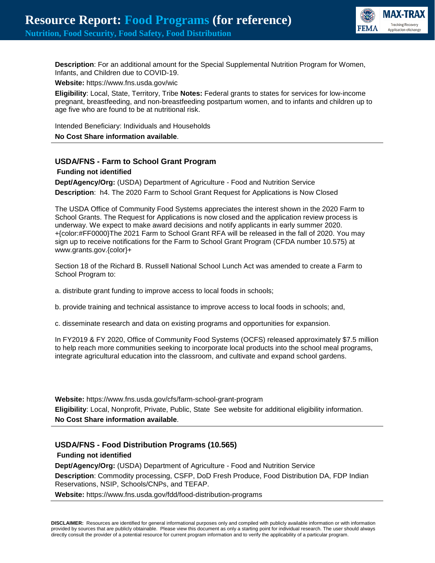

**Description**: For an additional amount for the Special Supplemental Nutrition Program for Women, Infants, and Children due to COVID-19.

**Website:** https://www.fns.usda.gov/wic

**Eligibility**: Local, State, Territory, Tribe **Notes:** Federal grants to states for services for low-income pregnant, breastfeeding, and non-breastfeeding postpartum women, and to infants and children up to age five who are found to be at nutritional risk.

Intended Beneficiary: Individuals and Households

**No Cost Share information available**.

### **USDA/FNS - Farm to School Grant Program**

#### **Funding not identified**

**Dept/Agency/Org:** (USDA) Department of Agriculture - Food and Nutrition Service **Description**: h4. The 2020 Farm to School Grant Request for Applications is Now Closed

The USDA Office of Community Food Systems appreciates the interest shown in the 2020 Farm to School Grants. The Request for Applications is now closed and the application review process is underway. We expect to make award decisions and notify applicants in early summer 2020. +{color:#FF0000}The 2021 Farm to School Grant RFA will be released in the fall of 2020. You may sign up to receive notifications for the Farm to School Grant Program (CFDA number 10.575) at www.grants.gov.{color}+

Section 18 of the Richard B. Russell National School Lunch Act was amended to create a Farm to School Program to:

a. distribute grant funding to improve access to local foods in schools;

b. provide training and technical assistance to improve access to local foods in schools; and,

c. disseminate research and data on existing programs and opportunities for expansion.

In FY2019 & FY 2020, Office of Community Food Systems (OCFS) released approximately \$7.5 million to help reach more communities seeking to incorporate local products into the school meal programs, integrate agricultural education into the classroom, and cultivate and expand school gardens.

**Website:** https://www.fns.usda.gov/cfs/farm-school-grant-program **Eligibility**: Local, Nonprofit, Private, Public, State See website for additional eligibility information. **No Cost Share information available**.

### **USDA/FNS - Food Distribution Programs (10.565)**

**Funding not identified**

**Dept/Agency/Org:** (USDA) Department of Agriculture - Food and Nutrition Service **Description**: Commodity processing, CSFP, DoD Fresh Produce, Food Distribution DA, FDP Indian Reservations, NSIP, Schools/CNPs, and TEFAP.

**Website:** https://www.fns.usda.gov/fdd/food-distribution-programs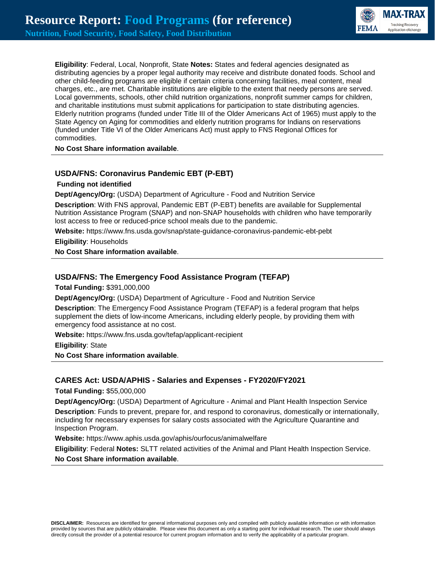**MAX-TRAX Tracking Recoven FEMA** 

**Eligibility**: Federal, Local, Nonprofit, State **Notes:** States and federal agencies designated as distributing agencies by a proper legal authority may receive and distribute donated foods. School and other child-feeding programs are eligible if certain criteria concerning facilities, meal content, meal charges, etc., are met. Charitable institutions are eligible to the extent that needy persons are served. Local governments, schools, other child nutrition organizations, nonprofit summer camps for children, and charitable institutions must submit applications for participation to state distributing agencies. Elderly nutrition programs (funded under Title III of the Older Americans Act of 1965) must apply to the State Agency on Aging for commodities and elderly nutrition programs for Indians on reservations (funded under Title VI of the Older Americans Act) must apply to FNS Regional Offices for commodities.

**No Cost Share information available**.

### **USDA/FNS: Coronavirus Pandemic EBT (P-EBT)**

#### **Funding not identified**

**Dept/Agency/Org:** (USDA) Department of Agriculture - Food and Nutrition Service

**Description**: With FNS approval, Pandemic EBT (P-EBT) benefits are available for Supplemental Nutrition Assistance Program (SNAP) and non-SNAP households with children who have temporarily lost access to free or reduced-price school meals due to the pandemic.

**Website:** https://www.fns.usda.gov/snap/state-guidance-coronavirus-pandemic-ebt-pebt

**Eligibility**: Households

**No Cost Share information available**.

#### **USDA/FNS: The Emergency Food Assistance Program (TEFAP)**

**Total Funding:** \$391,000,000

**Dept/Agency/Org:** (USDA) Department of Agriculture - Food and Nutrition Service

**Description**: The Emergency Food Assistance Program (TEFAP) is a federal program that helps supplement the diets of low-income Americans, including elderly people, by providing them with emergency food assistance at no cost.

**Website:** https://www.fns.usda.gov/tefap/applicant-recipient

**Eligibility**: State

**No Cost Share information available**.

### **CARES Act: USDA/APHIS - Salaries and Expenses - FY2020/FY2021**

**Total Funding:** \$55,000,000

**Dept/Agency/Org:** (USDA) Department of Agriculture - Animal and Plant Health Inspection Service

**Description**: Funds to prevent, prepare for, and respond to coronavirus, domestically or internationally, including for necessary expenses for salary costs associated with the Agriculture Quarantine and Inspection Program.

**Website:** https://www.aphis.usda.gov/aphis/ourfocus/animalwelfare

**Eligibility**: Federal **Notes:** SLTT related activities of the Animal and Plant Health Inspection Service. **No Cost Share information available**.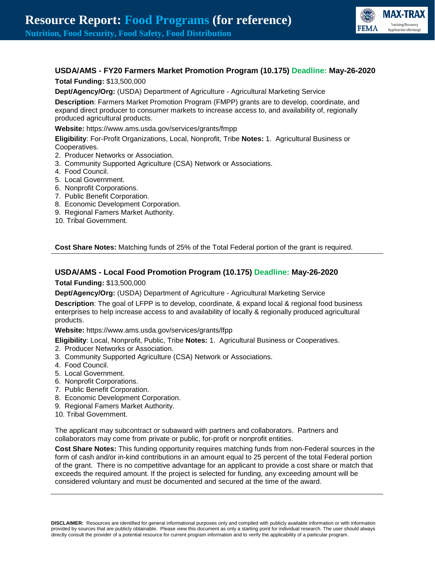

# **USDA/AMS - FY20 Farmers Market Promotion Program (10.175) Deadline: May-26-2020**

**Total Funding:** \$13,500,000

**Dept/Agency/Org:** (USDA) Department of Agriculture - Agricultural Marketing Service

**Description**: Farmers Market Promotion Program (FMPP) grants are to develop, coordinate, and expand direct producer to consumer markets to increase access to, and availability of, regionally produced agricultural products.

**Website:** https://www.ams.usda.gov/services/grants/fmpp

**Eligibility**: For-Profit Organizations, Local, Nonprofit, Tribe **Notes:** 1. Agricultural Business or Cooperatives.

- 2. Producer Networks or Association.
- 3. Community Supported Agriculture (CSA) Network or Associations.
- 4. Food Council.
- 5. Local Government.
- 6. Nonprofit Corporations.
- 7. Public Benefit Corporation.
- 8. Economic Development Corporation.
- 9. Regional Famers Market Authority.
- 10. Tribal Government.

**Cost Share Notes:** Matching funds of 25% of the Total Federal portion of the grant is required.

### **USDA/AMS - Local Food Promotion Program (10.175) Deadline: May-26-2020**

**Total Funding:** \$13,500,000

**Dept/Agency/Org:** (USDA) Department of Agriculture - Agricultural Marketing Service

**Description**: The goal of LFPP is to develop, coordinate, & expand local & regional food business enterprises to help increase access to and availability of locally & regionally produced agricultural products.

**Website:** https://www.ams.usda.gov/services/grants/lfpp

**Eligibility**: Local, Nonprofit, Public, Tribe **Notes:** 1. Agricultural Business or Cooperatives.

- 2. Producer Networks or Association.
- 3. Community Supported Agriculture (CSA) Network or Associations.
- 4. Food Council.
- 5. Local Government.
- 6. Nonprofit Corporations.
- 7. Public Benefit Corporation.
- 8. Economic Development Corporation.
- 9. Regional Famers Market Authority.
- 10. Tribal Government.

The applicant may subcontract or subaward with partners and collaborators. Partners and collaborators may come from private or public, for-profit or nonprofit entities.

**Cost Share Notes:** This funding opportunity requires matching funds from non-Federal sources in the form of cash and/or in-kind contributions in an amount equal to 25 percent of the total Federal portion of the grant. There is no competitive advantage for an applicant to provide a cost share or match that exceeds the required amount. If the project is selected for funding, any exceeding amount will be considered voluntary and must be documented and secured at the time of the award.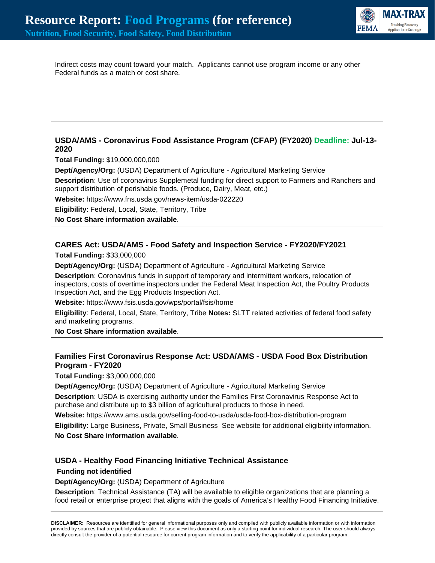

Indirect costs may count toward your match. Applicants cannot use program income or any other Federal funds as a match or cost share.

# **USDA/AMS - Coronavirus Food Assistance Program (CFAP) (FY2020) Deadline: Jul-13- 2020**

**Total Funding:** \$19,000,000,000

**Dept/Agency/Org:** (USDA) Department of Agriculture - Agricultural Marketing Service

**Description**: Use of coronavirus Supplemetal funding for direct support to Farmers and Ranchers and support distribution of perishable foods. (Produce, Dairy, Meat, etc.)

**Website:** https://www.fns.usda.gov/news-item/usda-022220

**Eligibility**: Federal, Local, State, Territory, Tribe

**No Cost Share information available**.

# **CARES Act: USDA/AMS - Food Safety and Inspection Service - FY2020/FY2021**

**Total Funding:** \$33,000,000

**Dept/Agency/Org:** (USDA) Department of Agriculture - Agricultural Marketing Service

**Description**: Coronavirus funds in support of temporary and intermittent workers, relocation of inspectors, costs of overtime inspectors under the Federal Meat Inspection Act, the Poultry Products Inspection Act, and the Egg Products Inspection Act.

**Website:** https://www.fsis.usda.gov/wps/portal/fsis/home

**Eligibility**: Federal, Local, State, Territory, Tribe **Notes:** SLTT related activities of federal food safety and marketing programs.

**No Cost Share information available**.

# **Families First Coronavirus Response Act: USDA/AMS - USDA Food Box Distribution Program - FY2020**

**Total Funding:** \$3,000,000,000

**Dept/Agency/Org:** (USDA) Department of Agriculture - Agricultural Marketing Service **Description**: USDA is exercising authority under the Families First Coronavirus Response Act to purchase and distribute up to \$3 billion of agricultural products to those in need.

**Website:** https://www.ams.usda.gov/selling-food-to-usda/usda-food-box-distribution-program

**Eligibility**: Large Business, Private, Small Business See website for additional eligibility information. **No Cost Share information available**.

### **USDA - Healthy Food Financing Initiative Technical Assistance**

**Funding not identified**

**Dept/Agency/Org:** (USDA) Department of Agriculture

**Description**: Technical Assistance (TA) will be available to eligible organizations that are planning a food retail or enterprise project that aligns with the goals of America's Healthy Food Financing Initiative.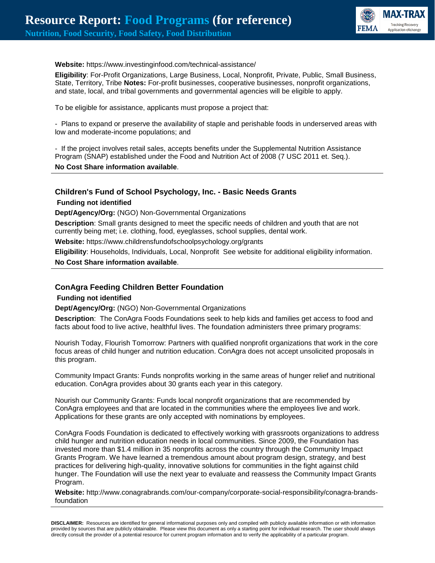

#### **Website:** https://www.investinginfood.com/technical-assistance/

**Eligibility**: For-Profit Organizations, Large Business, Local, Nonprofit, Private, Public, Small Business, State, Territory, Tribe **Notes:** For-profit businesses, cooperative businesses, nonprofit organizations, and state, local, and tribal governments and governmental agencies will be eligible to apply.

To be eligible for assistance, applicants must propose a project that:

- Plans to expand or preserve the availability of staple and perishable foods in underserved areas with low and moderate-income populations; and

- If the project involves retail sales, accepts benefits under the Supplemental Nutrition Assistance Program (SNAP) established under the Food and Nutrition Act of 2008 (7 USC 2011 et. Seq.).

#### **No Cost Share information available**.

#### **Children's Fund of School Psychology, Inc. - Basic Needs Grants**

**Funding not identified**

**Dept/Agency/Org:** (NGO) Non-Governmental Organizations

**Description**: Small grants designed to meet the specific needs of children and youth that are not currently being met; i.e. clothing, food, eyeglasses, school supplies, dental work.

**Website:** https://www.childrensfundofschoolpsychology.org/grants

**Eligibility**: Households, Individuals, Local, Nonprofit See website for additional eligibility information.

**No Cost Share information available**.

#### **ConAgra Feeding Children Better Foundation**

#### **Funding not identified**

**Dept/Agency/Org:** (NGO) Non-Governmental Organizations

**Description**: The ConAgra Foods Foundations seek to help kids and families get access to food and facts about food to live active, healthful lives. The foundation administers three primary programs:

Nourish Today, Flourish Tomorrow: Partners with qualified nonprofit organizations that work in the core focus areas of child hunger and nutrition education. ConAgra does not accept unsolicited proposals in this program.

Community Impact Grants: Funds nonprofits working in the same areas of hunger relief and nutritional education. ConAgra provides about 30 grants each year in this category.

Nourish our Community Grants: Funds local nonprofit organizations that are recommended by ConAgra employees and that are located in the communities where the employees live and work. Applications for these grants are only accepted with nominations by employees.

ConAgra Foods Foundation is dedicated to effectively working with grassroots organizations to address child hunger and nutrition education needs in local communities. Since 2009, the Foundation has invested more than \$1.4 million in 35 nonprofits across the country through the Community Impact Grants Program. We have learned a tremendous amount about program design, strategy, and best practices for delivering high-quality, innovative solutions for communities in the fight against child hunger. The Foundation will use the next year to evaluate and reassess the Community Impact Grants Program.

**Website:** http://www.conagrabrands.com/our-company/corporate-social-responsibility/conagra-brandsfoundation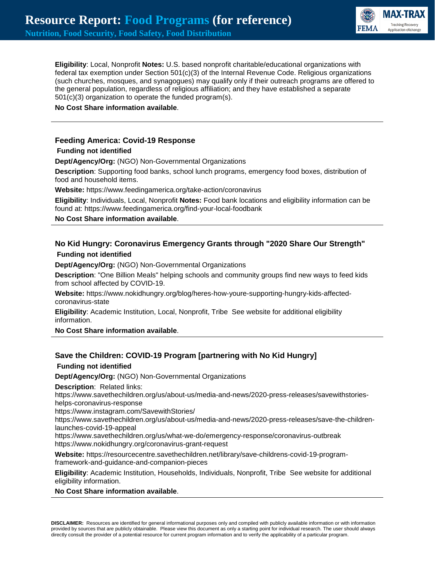

**Eligibility**: Local, Nonprofit **Notes:** U.S. based nonprofit charitable/educational organizations with federal tax exemption under Section 501(c)(3) of the Internal Revenue Code. Religious organizations (such churches, mosques, and synagogues) may qualify only if their outreach programs are offered to the general population, regardless of religious affiliation; and they have established a separate 501(c)(3) organization to operate the funded program(s).

#### **No Cost Share information available**.

### **Feeding America: Covid-19 Response**

#### **Funding not identified**

**Dept/Agency/Org:** (NGO) Non-Governmental Organizations

**Description**: Supporting food banks, school lunch programs, emergency food boxes, distribution of food and household items.

**Website:** https://www.feedingamerica.org/take-action/coronavirus

**Eligibility**: Individuals, Local, Nonprofit **Notes:** Food bank locations and eligibility information can be found at: https://www.feedingamerica.org/find-your-local-foodbank

**No Cost Share information available**.

# **No Kid Hungry: Coronavirus Emergency Grants through "2020 Share Our Strength" Funding not identified**

**Dept/Agency/Org:** (NGO) Non-Governmental Organizations

**Description**: "One Billion Meals" helping schools and community groups find new ways to feed kids from school affected by COVID-19.

**Website:** https://www.nokidhungry.org/blog/heres-how-youre-supporting-hungry-kids-affectedcoronavirus-state

**Eligibility**: Academic Institution, Local, Nonprofit, Tribe See website for additional eligibility information.

**No Cost Share information available**.

### **Save the Children: COVID-19 Program [partnering with No Kid Hungry]**

### **Funding not identified**

**Dept/Agency/Org:** (NGO) Non-Governmental Organizations

**Description**: Related links:

https://www.savethechildren.org/us/about-us/media-and-news/2020-press-releases/savewithstorieshelps-coronavirus-response

https://www.instagram.com/SavewithStories/

https://www.savethechildren.org/us/about-us/media-and-news/2020-press-releases/save-the-childrenlaunches-covid-19-appeal

https://www.savethechildren.org/us/what-we-do/emergency-response/coronavirus-outbreak https://www.nokidhungry.org/coronavirus-grant-request

**Website:** https://resourcecentre.savethechildren.net/library/save-childrens-covid-19-programframework-and-guidance-and-companion-pieces

**Eligibility**: Academic Institution, Households, Individuals, Nonprofit, Tribe See website for additional eligibility information.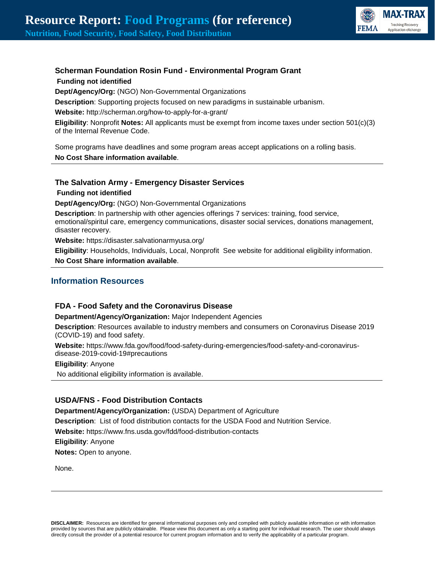

# **Scherman Foundation Rosin Fund - Environmental Program Grant**

**Funding not identified**

**Dept/Agency/Org:** (NGO) Non-Governmental Organizations

**Description**: Supporting projects focused on new paradigms in sustainable urbanism.

**Website:** http://scherman.org/how-to-apply-for-a-grant/

**Eligibility**: Nonprofit **Notes:** All applicants must be exempt from income taxes under section 501(c)(3) of the Internal Revenue Code.

Some programs have deadlines and some program areas accept applications on a rolling basis. **No Cost Share information available**.

# **The Salvation Army - Emergency Disaster Services**

**Funding not identified**

**Dept/Agency/Org:** (NGO) Non-Governmental Organizations

**Description**: In partnership with other agencies offerings 7 services: training, food service, emotional/spiritul care, emergency communications, disaster social services, donations management, disaster recovery.

**Website:** https://disaster.salvationarmyusa.org/

**Eligibility**: Households, Individuals, Local, Nonprofit See website for additional eligibility information. **No Cost Share information available**.

# **Information Resources**

# **FDA - Food Safety and the Coronavirus Disease**

**Department/Agency/Organization:** Major Independent Agencies

**Description**: Resources available to industry members and consumers on Coronavirus Disease 2019 (COVID-19) and food safety.

**Website:** https://www.fda.gov/food/food-safety-during-emergencies/food-safety-and-coronavirusdisease-2019-covid-19#precautions

**Eligibility**: Anyone

No additional eligibility information is available.

# **USDA/FNS - Food Distribution Contacts**

**Department/Agency/Organization:** (USDA) Department of Agriculture

**Description**: List of food distribution contacts for the USDA Food and Nutrition Service.

**Website:** https://www.fns.usda.gov/fdd/food-distribution-contacts

**Eligibility**: Anyone

**Notes:** Open to anyone.

None.